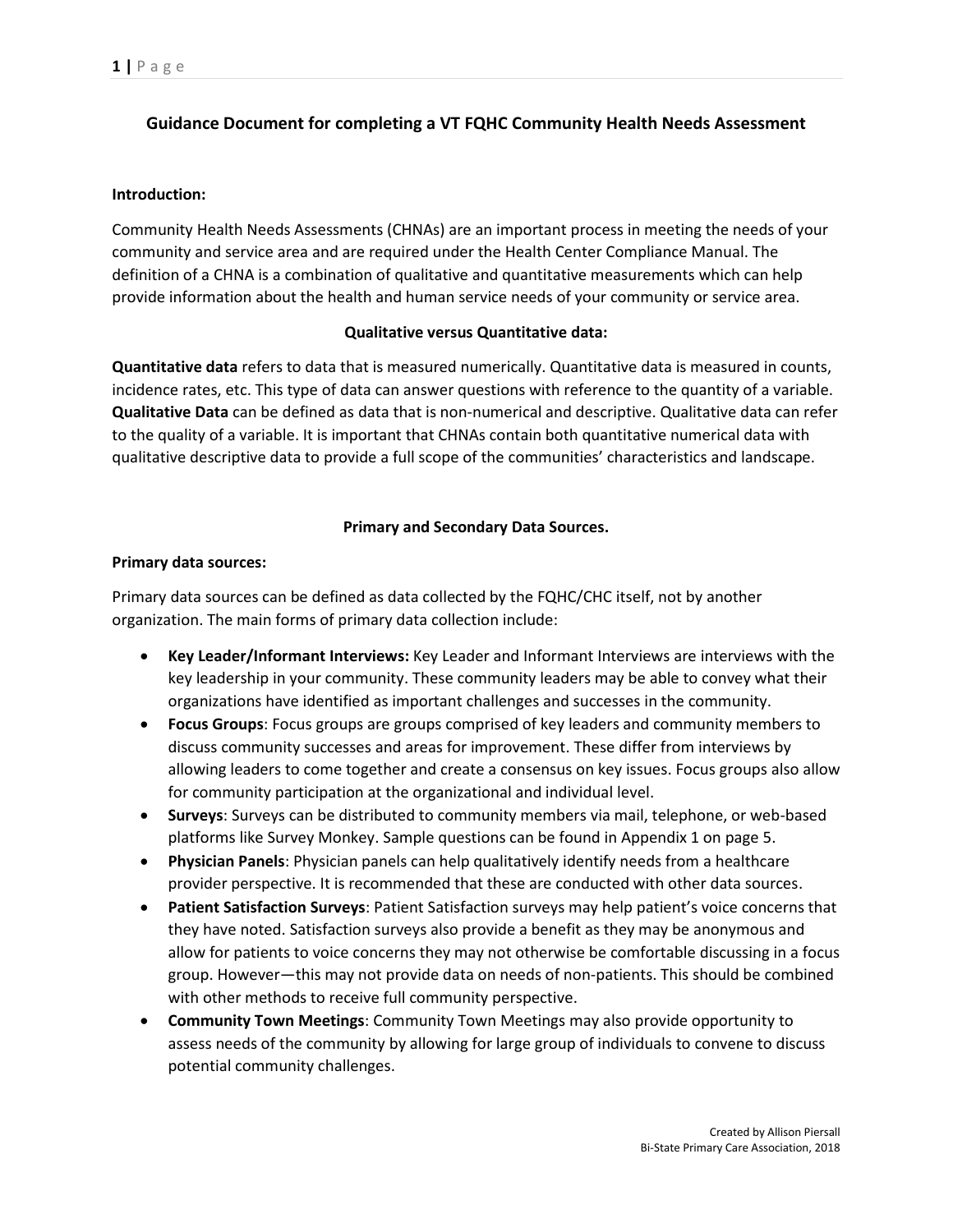# **Guidance Document for completing a VT FQHC Community Health Needs Assessment**

## **Introduction:**

Community Health Needs Assessments (CHNAs) are an important process in meeting the needs of your community and service area and are required under the Health Center Compliance Manual. The definition of a CHNA is a combination of qualitative and quantitative measurements which can help provide information about the health and human service needs of your community or service area.

#### **Qualitative versus Quantitative data:**

**Quantitative data** refers to data that is measured numerically. Quantitative data is measured in counts, incidence rates, etc. This type of data can answer questions with reference to the quantity of a variable. **Qualitative Data** can be defined as data that is non-numerical and descriptive. Qualitative data can refer to the quality of a variable. It is important that CHNAs contain both quantitative numerical data with qualitative descriptive data to provide a full scope of the communities' characteristics and landscape.

## **Primary and Secondary Data Sources.**

## **Primary data sources:**

Primary data sources can be defined as data collected by the FQHC/CHC itself, not by another organization. The main forms of primary data collection include:

- **Key Leader/Informant Interviews:** Key Leader and Informant Interviews are interviews with the key leadership in your community. These community leaders may be able to convey what their organizations have identified as important challenges and successes in the community.
- **Focus Groups**: Focus groups are groups comprised of key leaders and community members to discuss community successes and areas for improvement. These differ from interviews by allowing leaders to come together and create a consensus on key issues. Focus groups also allow for community participation at the organizational and individual level.
- **Surveys**: Surveys can be distributed to community members via mail, telephone, or web-based platforms like Survey Monkey. Sample questions can be found in Appendix 1 on page 5.
- **Physician Panels**: Physician panels can help qualitatively identify needs from a healthcare provider perspective. It is recommended that these are conducted with other data sources.
- **Patient Satisfaction Surveys**: Patient Satisfaction surveys may help patient's voice concerns that they have noted. Satisfaction surveys also provide a benefit as they may be anonymous and allow for patients to voice concerns they may not otherwise be comfortable discussing in a focus group. However—this may not provide data on needs of non-patients. This should be combined with other methods to receive full community perspective.
- **Community Town Meetings**: Community Town Meetings may also provide opportunity to assess needs of the community by allowing for large group of individuals to convene to discuss potential community challenges.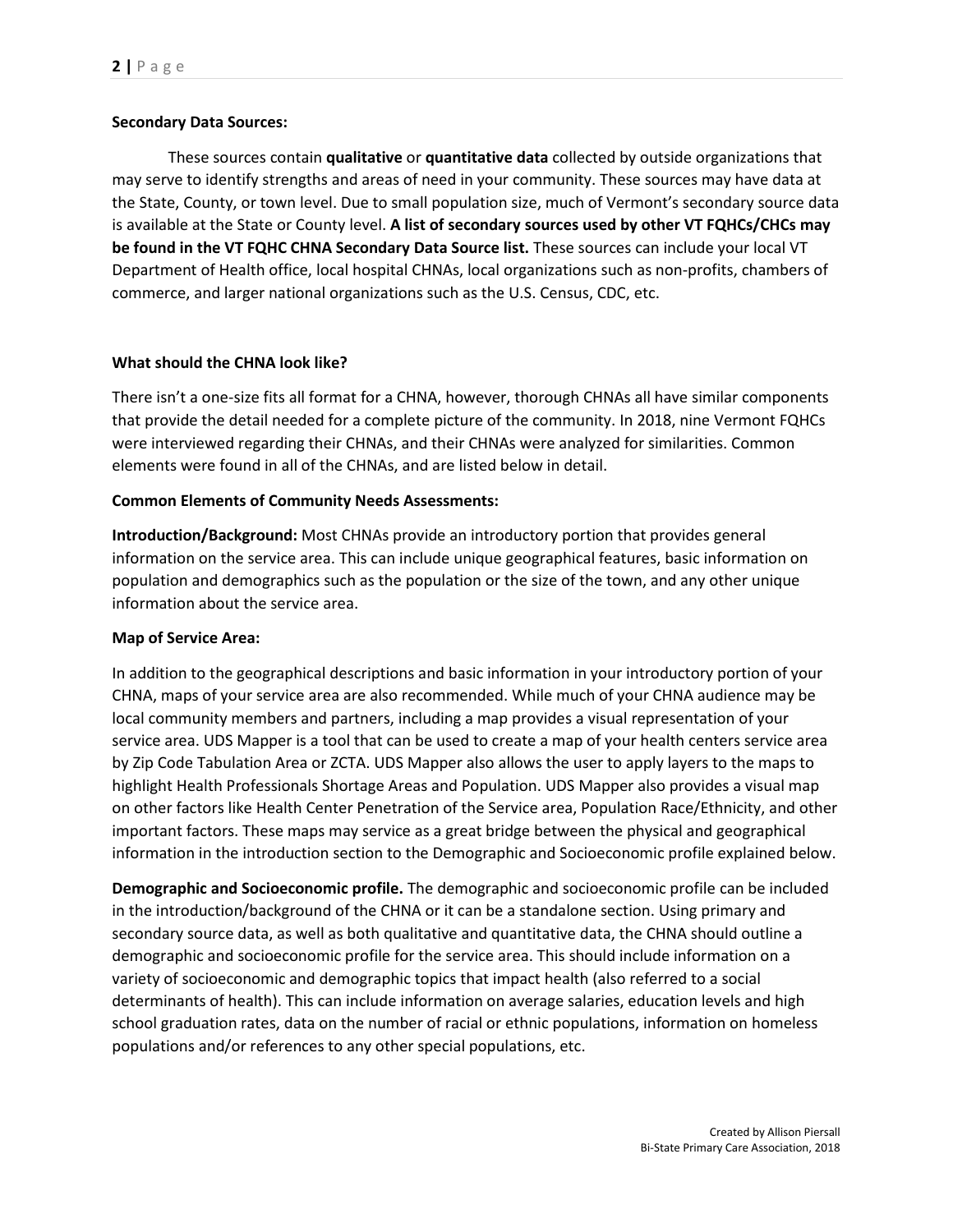## **Secondary Data Sources:**

These sources contain **qualitative** or **quantitative data** collected by outside organizations that may serve to identify strengths and areas of need in your community. These sources may have data at the State, County, or town level. Due to small population size, much of Vermont's secondary source data is available at the State or County level. **A list of secondary sources used by other VT FQHCs/CHCs may be found in the VT FQHC CHNA Secondary Data Source list.** These sources can include your local VT Department of Health office, local hospital CHNAs, local organizations such as non-profits, chambers of commerce, and larger national organizations such as the U.S. Census, CDC, etc.

## **What should the CHNA look like?**

There isn't a one-size fits all format for a CHNA, however, thorough CHNAs all have similar components that provide the detail needed for a complete picture of the community. In 2018, nine Vermont FQHCs were interviewed regarding their CHNAs, and their CHNAs were analyzed for similarities. Common elements were found in all of the CHNAs, and are listed below in detail.

## **Common Elements of Community Needs Assessments:**

**Introduction/Background:** Most CHNAs provide an introductory portion that provides general information on the service area. This can include unique geographical features, basic information on population and demographics such as the population or the size of the town, and any other unique information about the service area.

## **Map of Service Area:**

In addition to the geographical descriptions and basic information in your introductory portion of your CHNA, maps of your service area are also recommended. While much of your CHNA audience may be local community members and partners, including a map provides a visual representation of your service area. UDS Mapper is a tool that can be used to create a map of your health centers service area by Zip Code Tabulation Area or ZCTA. UDS Mapper also allows the user to apply layers to the maps to highlight Health Professionals Shortage Areas and Population. UDS Mapper also provides a visual map on other factors like Health Center Penetration of the Service area, Population Race/Ethnicity, and other important factors. These maps may service as a great bridge between the physical and geographical information in the introduction section to the Demographic and Socioeconomic profile explained below.

**Demographic and Socioeconomic profile.** The demographic and socioeconomic profile can be included in the introduction/background of the CHNA or it can be a standalone section. Using primary and secondary source data, as well as both qualitative and quantitative data, the CHNA should outline a demographic and socioeconomic profile for the service area. This should include information on a variety of socioeconomic and demographic topics that impact health (also referred to a social determinants of health). This can include information on average salaries, education levels and high school graduation rates, data on the number of racial or ethnic populations, information on homeless populations and/or references to any other special populations, etc.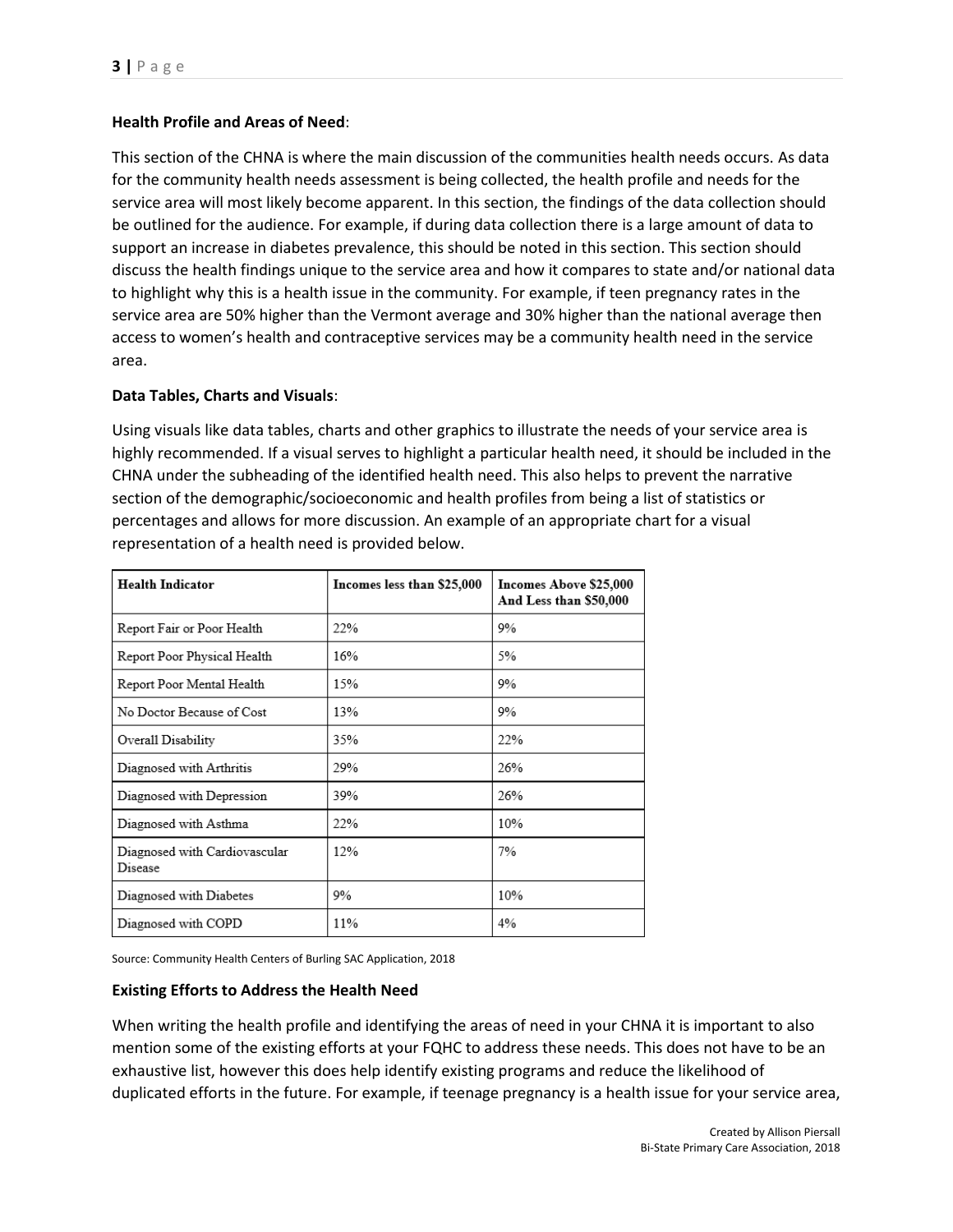## **Health Profile and Areas of Need**:

This section of the CHNA is where the main discussion of the communities health needs occurs. As data for the community health needs assessment is being collected, the health profile and needs for the service area will most likely become apparent. In this section, the findings of the data collection should be outlined for the audience. For example, if during data collection there is a large amount of data to support an increase in diabetes prevalence, this should be noted in this section. This section should discuss the health findings unique to the service area and how it compares to state and/or national data to highlight why this is a health issue in the community. For example, if teen pregnancy rates in the service area are 50% higher than the Vermont average and 30% higher than the national average then access to women's health and contraceptive services may be a community health need in the service area.

## **Data Tables, Charts and Visuals**:

Using visuals like data tables, charts and other graphics to illustrate the needs of your service area is highly recommended. If a visual serves to highlight a particular health need, it should be included in the CHNA under the subheading of the identified health need. This also helps to prevent the narrative section of the demographic/socioeconomic and health profiles from being a list of statistics or percentages and allows for more discussion. An example of an appropriate chart for a visual representation of a health need is provided below.

| <b>Health Indicator</b>                  | Incomes less than \$25,000 | Incomes Above \$25,000<br>And Less than \$50,000 |
|------------------------------------------|----------------------------|--------------------------------------------------|
| Report Fair or Poor Health               | 22%                        | 9%                                               |
| Report Poor Physical Health              | 16%                        | 5%                                               |
| Report Poor Mental Health                | 15%                        | 9%                                               |
| No Doctor Because of Cost                | 13%                        | 9%                                               |
| Overall Disability                       | 35%                        | 22%                                              |
| Diagnosed with Arthritis                 | 29%                        | 26%                                              |
| Diagnosed with Depression                | 39%                        | 26%                                              |
| Diagnosed with Asthma                    | 22%                        | 10%                                              |
| Diagnosed with Cardiovascular<br>Disease | 12%                        | 7%                                               |
| Diagnosed with Diabetes                  | 9%                         | 10%                                              |
| Diagnosed with COPD                      | 11%                        | 4%                                               |

Source: Community Health Centers of Burling SAC Application, 2018

#### **Existing Efforts to Address the Health Need**

When writing the health profile and identifying the areas of need in your CHNA it is important to also mention some of the existing efforts at your FQHC to address these needs. This does not have to be an exhaustive list, however this does help identify existing programs and reduce the likelihood of duplicated efforts in the future. For example, if teenage pregnancy is a health issue for your service area,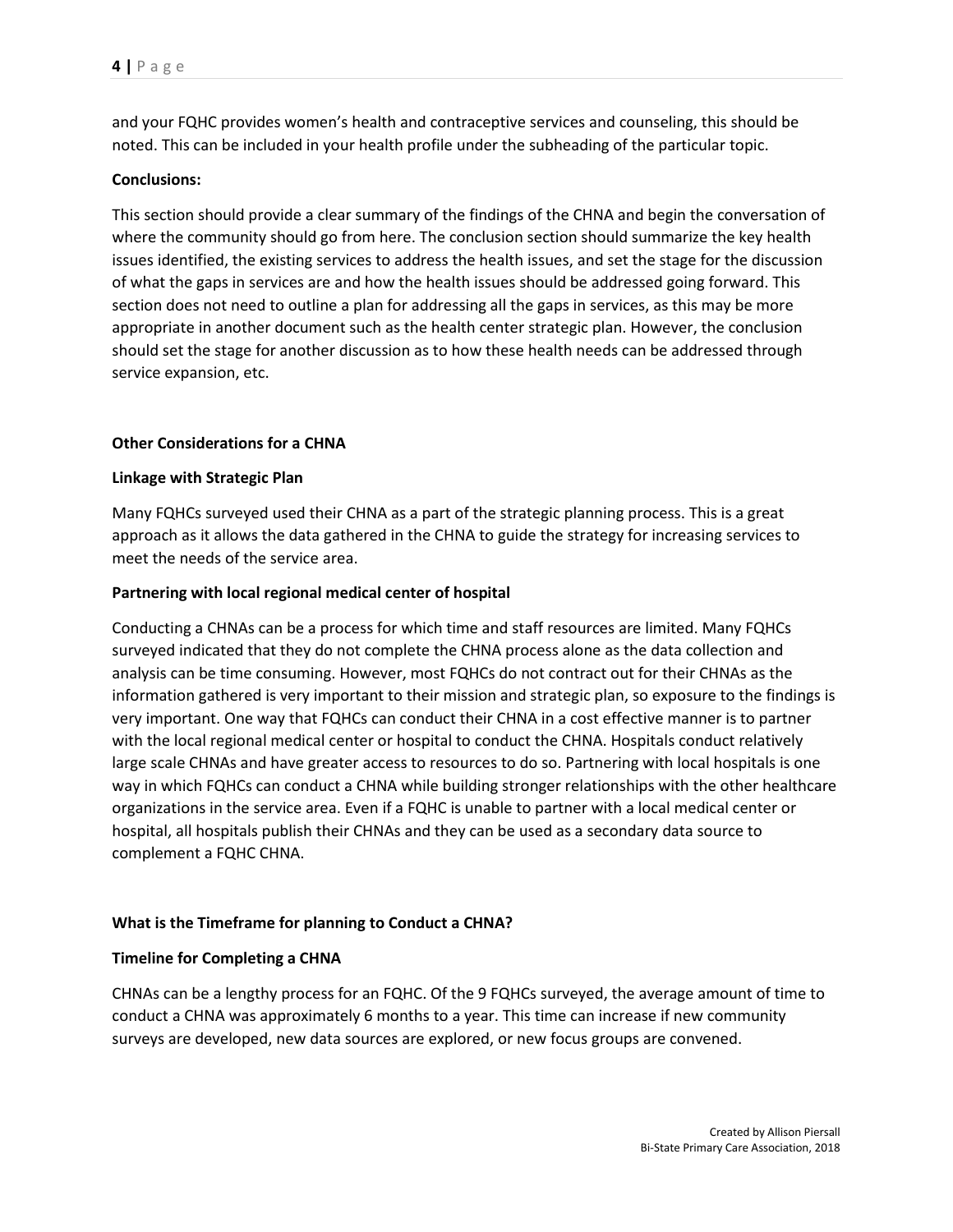and your FQHC provides women's health and contraceptive services and counseling, this should be noted. This can be included in your health profile under the subheading of the particular topic.

## **Conclusions:**

This section should provide a clear summary of the findings of the CHNA and begin the conversation of where the community should go from here. The conclusion section should summarize the key health issues identified, the existing services to address the health issues, and set the stage for the discussion of what the gaps in services are and how the health issues should be addressed going forward. This section does not need to outline a plan for addressing all the gaps in services, as this may be more appropriate in another document such as the health center strategic plan. However, the conclusion should set the stage for another discussion as to how these health needs can be addressed through service expansion, etc.

## **Other Considerations for a CHNA**

## **Linkage with Strategic Plan**

Many FQHCs surveyed used their CHNA as a part of the strategic planning process. This is a great approach as it allows the data gathered in the CHNA to guide the strategy for increasing services to meet the needs of the service area.

## **Partnering with local regional medical center of hospital**

Conducting a CHNAs can be a process for which time and staff resources are limited. Many FQHCs surveyed indicated that they do not complete the CHNA process alone as the data collection and analysis can be time consuming. However, most FQHCs do not contract out for their CHNAs as the information gathered is very important to their mission and strategic plan, so exposure to the findings is very important. One way that FQHCs can conduct their CHNA in a cost effective manner is to partner with the local regional medical center or hospital to conduct the CHNA. Hospitals conduct relatively large scale CHNAs and have greater access to resources to do so. Partnering with local hospitals is one way in which FQHCs can conduct a CHNA while building stronger relationships with the other healthcare organizations in the service area. Even if a FQHC is unable to partner with a local medical center or hospital, all hospitals publish their CHNAs and they can be used as a secondary data source to complement a FQHC CHNA.

## **What is the Timeframe for planning to Conduct a CHNA?**

#### **Timeline for Completing a CHNA**

CHNAs can be a lengthy process for an FQHC. Of the 9 FQHCs surveyed, the average amount of time to conduct a CHNA was approximately 6 months to a year. This time can increase if new community surveys are developed, new data sources are explored, or new focus groups are convened.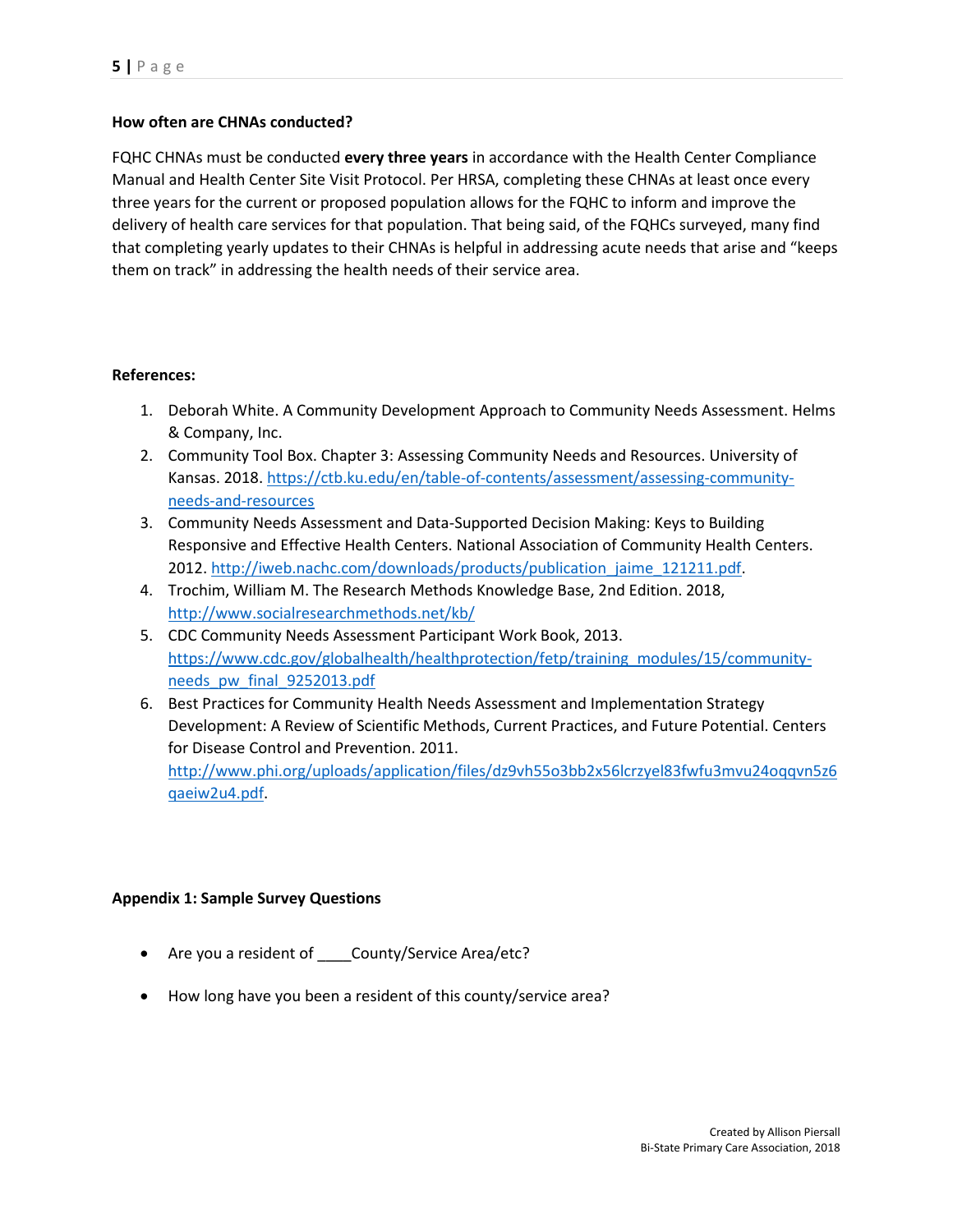## **How often are CHNAs conducted?**

FQHC CHNAs must be conducted **every three years** in accordance with the Health Center Compliance Manual and Health Center Site Visit Protocol. Per HRSA, completing these CHNAs at least once every three years for the current or proposed population allows for the FQHC to inform and improve the delivery of health care services for that population. That being said, of the FQHCs surveyed, many find that completing yearly updates to their CHNAs is helpful in addressing acute needs that arise and "keeps them on track" in addressing the health needs of their service area.

## **References:**

- 1. Deborah White. A Community Development Approach to Community Needs Assessment. Helms & Company, Inc.
- 2. Community Tool Box. Chapter 3: Assessing Community Needs and Resources. University of Kansas. 2018[. https://ctb.ku.edu/en/table-of-contents/assessment/assessing-community](https://ctb.ku.edu/en/table-of-contents/assessment/assessing-community-needs-and-resources)[needs-and-resources](https://ctb.ku.edu/en/table-of-contents/assessment/assessing-community-needs-and-resources)
- 3. Community Needs Assessment and Data-Supported Decision Making: Keys to Building Responsive and Effective Health Centers. National Association of Community Health Centers. 2012[. http://iweb.nachc.com/downloads/products/publication\\_jaime\\_121211.pdf.](http://iweb.nachc.com/downloads/products/publication_jaime_121211.pdf)
- 4. Trochim, William M. The Research Methods Knowledge Base, 2nd Edition. 2018, <http://www.socialresearchmethods.net/kb/>
- 5. CDC Community Needs Assessment Participant Work Book, 2013. [https://www.cdc.gov/globalhealth/healthprotection/fetp/training\\_modules/15/community](https://www.cdc.gov/globalhealth/healthprotection/fetp/training_modules/15/community-needs_pw_final_9252013.pdf)[needs\\_pw\\_final\\_9252013.pdf](https://www.cdc.gov/globalhealth/healthprotection/fetp/training_modules/15/community-needs_pw_final_9252013.pdf)
- 6. Best Practices for Community Health Needs Assessment and Implementation Strategy Development: A Review of Scientific Methods, Current Practices, and Future Potential. Centers for Disease Control and Prevention. 2011.

[http://www.phi.org/uploads/application/files/dz9vh55o3bb2x56lcrzyel83fwfu3mvu24oqqvn5z6](http://www.phi.org/uploads/application/files/dz9vh55o3bb2x56lcrzyel83fwfu3mvu24oqqvn5z6qaeiw2u4.pdf) [qaeiw2u4.pdf.](http://www.phi.org/uploads/application/files/dz9vh55o3bb2x56lcrzyel83fwfu3mvu24oqqvn5z6qaeiw2u4.pdf)

## **Appendix 1: Sample Survey Questions**

- Are you a resident of County/Service Area/etc?
- How long have you been a resident of this county/service area?